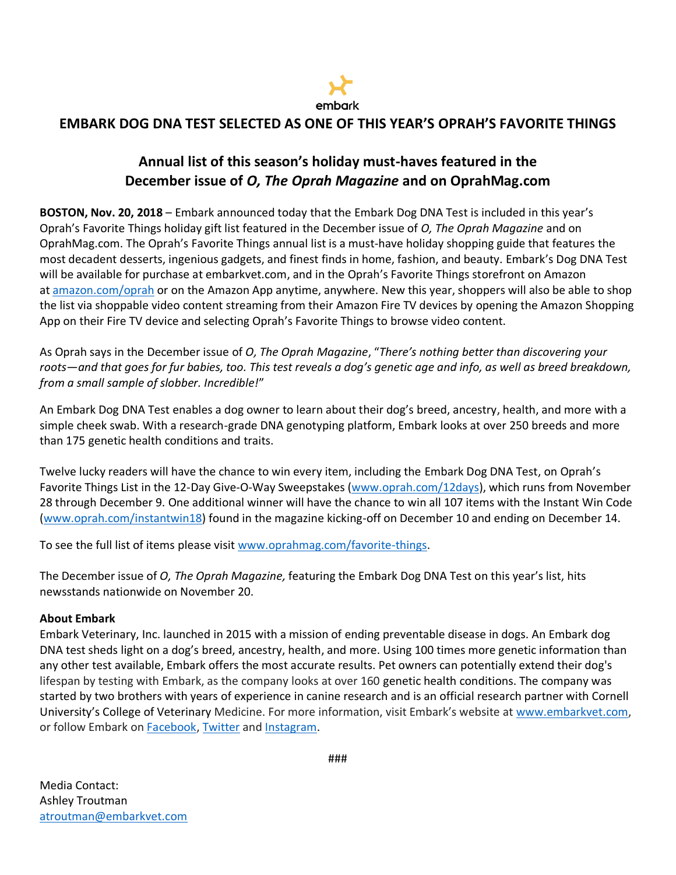

## **EMBARK DOG DNA TEST SELECTED AS ONE OF THIS YEAR'S OPRAH'S FAVORITE THINGS**

## **Annual list of this season's holiday must-haves featured in the December issue of** *O, The Oprah Magazine* **and on OprahMag.com**

**BOSTON, Nov. 20, 2018** – Embark announced today that the Embark Dog DNA Test is included in this year's Oprah's Favorite Things holiday gift list featured in the December issue of *O, The Oprah Magazine* and on OprahMag.com. The Oprah's Favorite Things annual list is a must-have holiday shopping guide that features the most decadent desserts, ingenious gadgets, and finest finds in home, fashion, and beauty. Embark's Dog DNA Test will be available for purchase at embarkvet.com, and in the Oprah's Favorite Things storefront on Amazon at [amazon.com/oprah](http://www.amazon.com/oprah) or on the Amazon App anytime, anywhere. New this year, shoppers will also be able to shop the list via shoppable video content streaming from their Amazon Fire TV devices by opening the Amazon Shopping App on their Fire TV device and selecting Oprah's Favorite Things to browse video content.

As Oprah says in the December issue of *O, The Oprah Magazine*, "*There's nothing better than discovering your roots—and that goes for fur babies, too. This test reveals a dog's genetic age and info, as well as breed breakdown, from a small sample of slobber. Incredible!*"

An Embark Dog DNA Test enables a dog owner to learn about their dog's breed, ancestry, health, and more with a simple cheek swab. With a research-grade DNA genotyping platform, Embark looks at over 250 breeds and more than 175 genetic health conditions and traits.

Twelve lucky readers will have the chance to win every item, including the Embark Dog DNA Test, on Oprah's Favorite Things List in the 12-Day Give-O-Way Sweepstakes [\(www.oprah.com/12days\)](https://urldefense.proofpoint.com/v2/url?u=https-3A__na01.safelinks.protection.outlook.com_-3Furl-3Dhttps-253A-252F-252Furldefense.proofpoint.com-252Fv2-252Furl-253Fu-253Dhttp-2D3A-5F-5Fwww.oprah.com-5F12days-2526d-253DDwMGaQ-2526c-253DB73tqXN8Ec0ocRmZHMCntw-2526r-253DClRdpFBbPtOOLAdxR7zYm20Pue98HKGVbwUaqZBMf24-2526m-253DzjPnEsocX8bROsw8zNqjW2lbp-2DYuePlSzbY4xtJJXlQ-2526s-253DUNq4noGFbRPuS3c6ekgMW746tPitKvkZX0ws-2Dr1kigY-2526e-253D-26data-3D01-257C01-257Cchelsea-5Fhettrick-2540own.tv-257Cfc70bcc5f0df4ec07a0a08d63ab375e9-257C092a1ba4a4fe4172970e7ab3035e7c94-257C0-26sdata-3D9Nj-252Bu-252FJxfnoLbBL4RJMATgOMz89i6iJ5JySKQDWdhyQ-253D-26reserved-3D0&d=DwMGaQ&c=B73tqXN8Ec0ocRmZHMCntw&r=SICEG_GnW_pZK57WE9toClDAhaZ5kkF1DIFiQR4s4iI&m=NIyAUvpv-zFwo8oKix6kgDsjbFpdri1seOoE7WieRTA&s=Kt2Rtq-GlrEE7RTP9MfuNToC9nA62MENTFzfsW8rJB0&e=), which runs from November 28 through December 9. One additional winner will have the chance to win all 107 items with the Instant Win Code (www.oprah.com/instantwin18) found in the magazine kicking-off on December 10 and ending on December 14.

To see the full list of items please visit [www.oprahmag.com/favorite-things.](http://www.oprahmag.com/favorite-things)

The December issue of *O, The Oprah Magazine,* featuring the Embark Dog DNA Test on this year's list, hits newsstands nationwide on November 20.

## **About Embark**

Embark Veterinary, Inc. launched in 2015 with a mission of ending preventable disease in dogs. An Embark dog DNA test sheds light on a dog's breed, ancestry, health, and more. Using 100 times more genetic information than any other test available, Embark offers the most accurate results. Pet owners can potentially extend their dog's lifespan by testing with Embark, as the company looks at over 160 genetic health conditions. The company was started by two brothers with years of experience in canine research and is an official research partner with Cornell University's College of Veterinary Medicine. For more information, visit Embark's website at [www.embarkvet.com,](http://www.embarkvet.com/) or follow Embark on [Facebook,](https://www.facebook.com/EmbarkVet/) [Twitter](https://twitter.com/embarkvet) and [Instagram.](https://www.instagram.com/embarkvet)